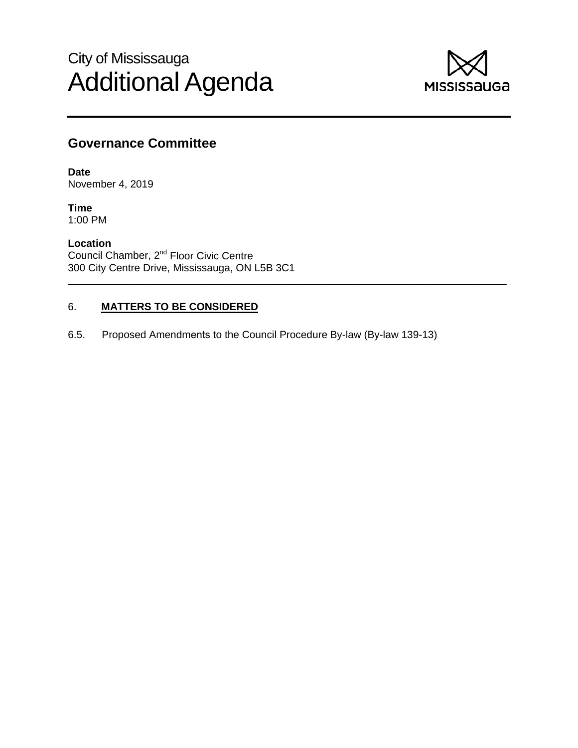# City of Mississauga Additional Agenda



#### **Governance Committee**

**Date** November 4, 2019

**Time** 1:00 PM

**Location** Council Chamber, 2nd Floor Civic Centre 300 City Centre Drive, Mississauga, ON L5B 3C1

#### 6. **MATTERS TO BE CONSIDERED**

6.5. Proposed Amendments to the Council Procedure By-law (By-law 139-13)

\_\_\_\_\_\_\_\_\_\_\_\_\_\_\_\_\_\_\_\_\_\_\_\_\_\_\_\_\_\_\_\_\_\_\_\_\_\_\_\_\_\_\_\_\_\_\_\_\_\_\_\_\_\_\_\_\_\_\_\_\_\_\_\_\_\_\_\_\_\_\_\_\_\_\_\_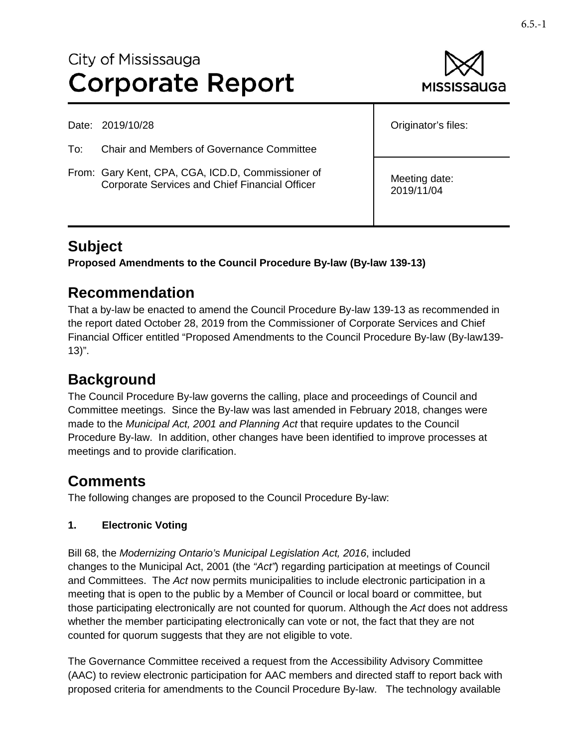# City of Mississauga **Corporate Report**



Date: 2019/10/28

- To: Chair and Members of Governance Committee
- From: Gary Kent, CPA, CGA, ICD.D, Commissioner of Corporate Services and Chief Financial Officer

Originator's files:

Meeting date: 2019/11/04

### **Subject**

**Proposed Amendments to the Council Procedure By-law (By-law 139-13)** 

## **Recommendation**

That a by-law be enacted to amend the Council Procedure By-law 139-13 as recommended in the report dated October 28, 2019 from the Commissioner of Corporate Services and Chief Financial Officer entitled "Proposed Amendments to the Council Procedure By-law (By-law139- 13)".

# **Background**

The Council Procedure By-law governs the calling, place and proceedings of Council and Committee meetings. Since the By-law was last amended in February 2018, changes were made to the *Municipal Act, 2001 and Planning Act* that require updates to the Council Procedure By-law. In addition, other changes have been identified to improve processes at meetings and to provide clarification.

# **Comments**

The following changes are proposed to the Council Procedure By-law:

#### **1. Electronic Voting**

Bill 68, the *Modernizing Ontario's Municipal Legislation Act, 2016*, included changes to the Municipal Act, 2001 (the *"Act"*) regarding participation at meetings of Council and Committees. The *Act* now permits municipalities to include electronic participation in a meeting that is open to the public by a Member of Council or local board or committee, but those participating electronically are not counted for quorum. Although the *Act* does not address whether the member participating electronically can vote or not, the fact that they are not counted for quorum suggests that they are not eligible to vote.

The Governance Committee received a request from the Accessibility Advisory Committee (AAC) to review electronic participation for AAC members and directed staff to report back with proposed criteria for amendments to the Council Procedure By-law. The technology available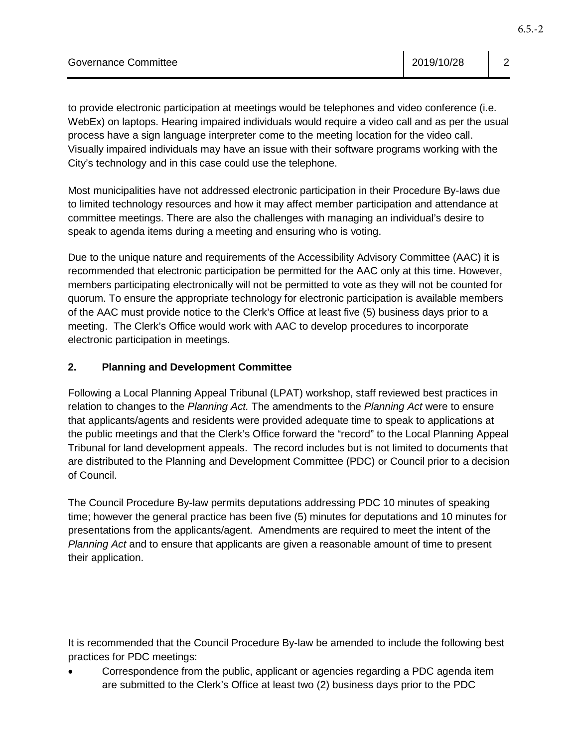| Governance Committee | 2019/10/28 |  |
|----------------------|------------|--|
|                      |            |  |

to provide electronic participation at meetings would be telephones and video conference (i.e. WebEx) on laptops. Hearing impaired individuals would require a video call and as per the usual process have a sign language interpreter come to the meeting location for the video call. Visually impaired individuals may have an issue with their software programs working with the City's technology and in this case could use the telephone.

Most municipalities have not addressed electronic participation in their Procedure By-laws due to limited technology resources and how it may affect member participation and attendance at committee meetings. There are also the challenges with managing an individual's desire to speak to agenda items during a meeting and ensuring who is voting.

Due to the unique nature and requirements of the Accessibility Advisory Committee (AAC) it is recommended that electronic participation be permitted for the AAC only at this time. However, members participating electronically will not be permitted to vote as they will not be counted for quorum. To ensure the appropriate technology for electronic participation is available members of the AAC must provide notice to the Clerk's Office at least five (5) business days prior to a meeting. The Clerk's Office would work with AAC to develop procedures to incorporate electronic participation in meetings.

#### **2. Planning and Development Committee**

Following a Local Planning Appeal Tribunal (LPAT) workshop, staff reviewed best practices in relation to changes to the *Planning Act.* The amendments to the *Planning Act* were to ensure that applicants/agents and residents were provided adequate time to speak to applications at the public meetings and that the Clerk's Office forward the "record" to the Local Planning Appeal Tribunal for land development appeals. The record includes but is not limited to documents that are distributed to the Planning and Development Committee (PDC) or Council prior to a decision of Council.

The Council Procedure By-law permits deputations addressing PDC 10 minutes of speaking time; however the general practice has been five (5) minutes for deputations and 10 minutes for presentations from the applicants/agent. Amendments are required to meet the intent of the *Planning Act* and to ensure that applicants are given a reasonable amount of time to present their application.

It is recommended that the Council Procedure By-law be amended to include the following best practices for PDC meetings:

• Correspondence from the public, applicant or agencies regarding a PDC agenda item are submitted to the Clerk's Office at least two (2) business days prior to the PDC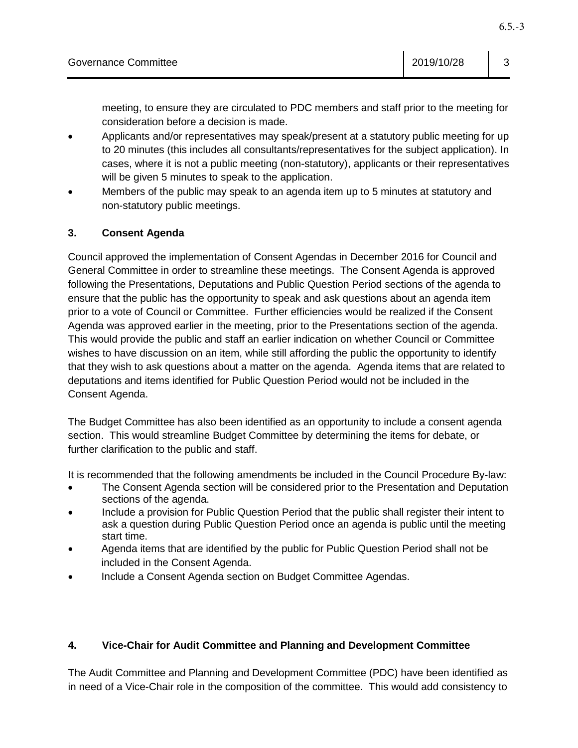| Governance Committee | 2019/10/28 | ∽ |
|----------------------|------------|---|
|----------------------|------------|---|

meeting, to ensure they are circulated to PDC members and staff prior to the meeting for consideration before a decision is made.

- Applicants and/or representatives may speak/present at a statutory public meeting for up to 20 minutes (this includes all consultants/representatives for the subject application). In cases, where it is not a public meeting (non-statutory), applicants or their representatives will be given 5 minutes to speak to the application.
- Members of the public may speak to an agenda item up to 5 minutes at statutory and non-statutory public meetings.

#### **3. Consent Agenda**

Council approved the implementation of Consent Agendas in December 2016 for Council and General Committee in order to streamline these meetings. The Consent Agenda is approved following the Presentations, Deputations and Public Question Period sections of the agenda to ensure that the public has the opportunity to speak and ask questions about an agenda item prior to a vote of Council or Committee. Further efficiencies would be realized if the Consent Agenda was approved earlier in the meeting, prior to the Presentations section of the agenda. This would provide the public and staff an earlier indication on whether Council or Committee wishes to have discussion on an item, while still affording the public the opportunity to identify that they wish to ask questions about a matter on the agenda. Agenda items that are related to deputations and items identified for Public Question Period would not be included in the Consent Agenda.

The Budget Committee has also been identified as an opportunity to include a consent agenda section. This would streamline Budget Committee by determining the items for debate, or further clarification to the public and staff.

It is recommended that the following amendments be included in the Council Procedure By-law:

- The Consent Agenda section will be considered prior to the Presentation and Deputation sections of the agenda.
- Include a provision for Public Question Period that the public shall register their intent to ask a question during Public Question Period once an agenda is public until the meeting start time.
- Agenda items that are identified by the public for Public Question Period shall not be included in the Consent Agenda.
- Include a Consent Agenda section on Budget Committee Agendas.

#### **4. Vice-Chair for Audit Committee and Planning and Development Committee**

The Audit Committee and Planning and Development Committee (PDC) have been identified as in need of a Vice-Chair role in the composition of the committee. This would add consistency to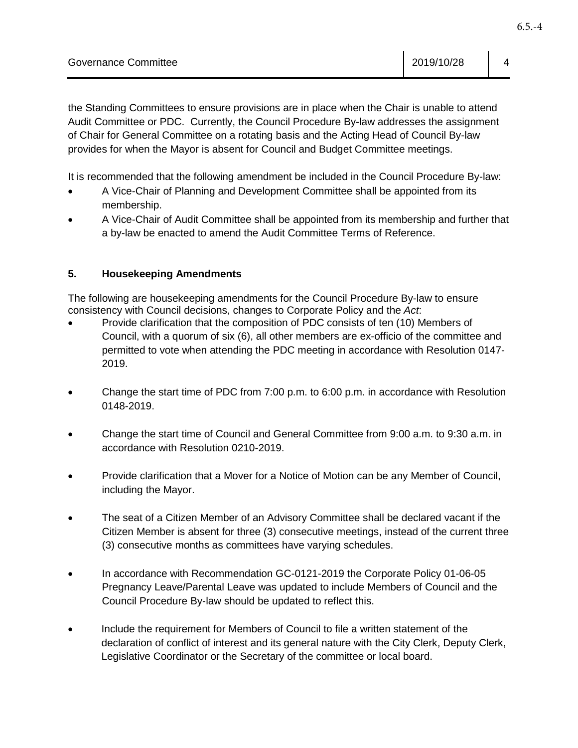| Governance Committee | 2019/10/28 |  |
|----------------------|------------|--|
|                      |            |  |

the Standing Committees to ensure provisions are in place when the Chair is unable to attend Audit Committee or PDC. Currently, the Council Procedure By-law addresses the assignment of Chair for General Committee on a rotating basis and the Acting Head of Council By-law provides for when the Mayor is absent for Council and Budget Committee meetings.

It is recommended that the following amendment be included in the Council Procedure By-law:

- A Vice-Chair of Planning and Development Committee shall be appointed from its membership.
- A Vice-Chair of Audit Committee shall be appointed from its membership and further that a by-law be enacted to amend the Audit Committee Terms of Reference.

#### **5. Housekeeping Amendments**

The following are housekeeping amendments for the Council Procedure By-law to ensure consistency with Council decisions, changes to Corporate Policy and the *Act*:

- Provide clarification that the composition of PDC consists of ten (10) Members of Council, with a quorum of six (6), all other members are ex-officio of the committee and permitted to vote when attending the PDC meeting in accordance with Resolution 0147- 2019.
- Change the start time of PDC from 7:00 p.m. to 6:00 p.m. in accordance with Resolution 0148-2019.
- Change the start time of Council and General Committee from 9:00 a.m. to 9:30 a.m. in accordance with Resolution 0210-2019.
- Provide clarification that a Mover for a Notice of Motion can be any Member of Council, including the Mayor.
- The seat of a Citizen Member of an Advisory Committee shall be declared vacant if the Citizen Member is absent for three (3) consecutive meetings, instead of the current three (3) consecutive months as committees have varying schedules.
- In accordance with Recommendation GC-0121-2019 the Corporate Policy 01-06-05 Pregnancy Leave/Parental Leave was updated to include Members of Council and the Council Procedure By-law should be updated to reflect this.
- Include the requirement for Members of Council to file a written statement of the declaration of conflict of interest and its general nature with the City Clerk, Deputy Clerk, Legislative Coordinator or the Secretary of the committee or local board.